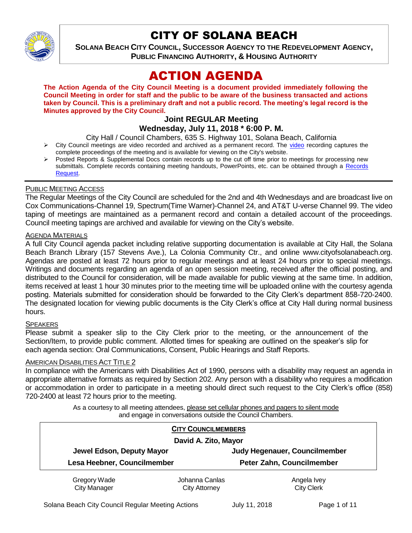

# CITY OF SOLANA BEACH

**SOLANA BEACH CITY COUNCIL, SUCCESSOR AGENCY TO THE REDEVELOPMENT AGENCY, PUBLIC FINANCING AUTHORITY, & HOUSING AUTHORITY** 

# ACTION AGENDA

**The Action Agenda of the City Council Meeting is a document provided immediately following the Council Meeting in order for staff and the public to be aware of the business transacted and actions taken by Council. This is a preliminary draft and not a public record. The meeting's legal record is the Minutes approved by the City Council.**

#### **Joint REGULAR Meeting Wednesday, July 11, 2018 \* 6:00 P. M.**

City Hall / Council Chambers, 635 S. Highway 101, Solana Beach, California

- $\triangleright$  City Council meetings are [video](https://solanabeach.12milesout.com/#page=1) recorded and archived as a permanent record. The video recording captures the complete proceedings of the meeting and is available for viewing on the City's website.
- Posted Reports & Supplemental Docs contain records up to the cut off time prior to meetings for processing new submittals. Complete records containing meeting handouts, PowerPoints, etc. can be obtained through a Records [Request.](http://www.ci.solana-beach.ca.us/index.asp?SEC=F5D45D10-70CE-4291-A27C-7BD633FC6742&Type=B_BASIC)

## PUBLIC MEETING ACCESS

The Regular Meetings of the City Council are scheduled for the 2nd and 4th Wednesdays and are broadcast live on Cox Communications-Channel 19, Spectrum(Time Warner)-Channel 24, and AT&T U-verse Channel 99. The video taping of meetings are maintained as a permanent record and contain a detailed account of the proceedings. Council meeting tapings are archived and available for viewing on the City's website.

## AGENDA MATERIALS

A full City Council agenda packet including relative supporting documentation is available at City Hall, the Solana Beach Branch Library (157 Stevens Ave.), La Colonia Community Ctr., and online www.cityofsolanabeach.org. Agendas are posted at least 72 hours prior to regular meetings and at least 24 hours prior to special meetings. Writings and documents regarding an agenda of an open session meeting, received after the official posting, and distributed to the Council for consideration, will be made available for public viewing at the same time. In addition, items received at least 1 hour 30 minutes prior to the meeting time will be uploaded online with the courtesy agenda posting. Materials submitted for consideration should be forwarded to the City Clerk's department 858-720-2400. The designated location for viewing public documents is the City Clerk's office at City Hall during normal business hours.

## **SPEAKERS**

Please submit a speaker slip to the City Clerk prior to the meeting, or the announcement of the Section/Item, to provide public comment. Allotted times for speaking are outlined on the speaker's slip for each agenda section: Oral Communications, Consent, Public Hearings and Staff Reports.

## AMERICAN DISABILITIES ACT TITLE 2

In compliance with the Americans with Disabilities Act of 1990, persons with a disability may request an agenda in appropriate alternative formats as required by Section 202. Any person with a disability who requires a modification or accommodation in order to participate in a meeting should direct such request to the City Clerk's office (858) 720-2400 at least 72 hours prior to the meeting.

> As a courtesy to all meeting attendees, please set cellular phones and pagers to silent mode and engage in conversations outside the Council Chambers.

|                             | <b>CITY COUNCILMEMBERS</b> |                               |
|-----------------------------|----------------------------|-------------------------------|
| David A. Zito, Mayor        |                            |                               |
| Jewel Edson, Deputy Mayor   |                            | Judy Hegenauer, Councilmember |
| Lesa Heebner, Councilmember |                            | Peter Zahn, Councilmember     |
| Gregory Wade                | Johanna Canlas             | Angela Ivey                   |
| <b>City Manager</b>         | <b>City Attorney</b>       | <b>City Clerk</b>             |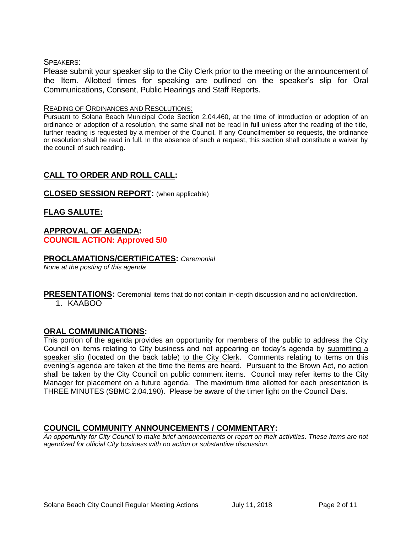## SPEAKERS:

Please submit your speaker slip to the City Clerk prior to the meeting or the announcement of the Item. Allotted times for speaking are outlined on the speaker's slip for Oral Communications, Consent, Public Hearings and Staff Reports.

#### READING OF ORDINANCES AND RESOLUTIONS:

Pursuant to Solana Beach Municipal Code Section 2.04.460, at the time of introduction or adoption of an ordinance or adoption of a resolution, the same shall not be read in full unless after the reading of the title, further reading is requested by a member of the Council. If any Councilmember so requests, the ordinance or resolution shall be read in full. In the absence of such a request, this section shall constitute a waiver by the council of such reading.

# **CALL TO ORDER AND ROLL CALL:**

## **CLOSED SESSION REPORT:** (when applicable)

**FLAG SALUTE:**

## **APPROVAL OF AGENDA: COUNCIL ACTION: Approved 5/0**

## **PROCLAMATIONS/CERTIFICATES:** *Ceremonial*

*None at the posting of this agenda*

**PRESENTATIONS:** Ceremonial items that do not contain in-depth discussion and no action/direction.

1. KAABOO

## **ORAL COMMUNICATIONS:**

This portion of the agenda provides an opportunity for members of the public to address the City Council on items relating to City business and not appearing on today's agenda by submitting a speaker slip (located on the back table) to the City Clerk. Comments relating to items on this evening's agenda are taken at the time the items are heard. Pursuant to the Brown Act, no action shall be taken by the City Council on public comment items. Council may refer items to the City Manager for placement on a future agenda. The maximum time allotted for each presentation is THREE MINUTES (SBMC 2.04.190). Please be aware of the timer light on the Council Dais.

## **COUNCIL COMMUNITY ANNOUNCEMENTS / COMMENTARY:**

*An opportunity for City Council to make brief announcements or report on their activities. These items are not agendized for official City business with no action or substantive discussion.*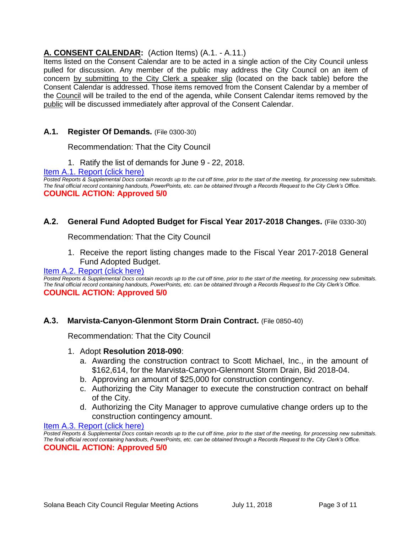# **A. CONSENT CALENDAR:** (Action Items) (A.1. - A.11.)

Items listed on the Consent Calendar are to be acted in a single action of the City Council unless pulled for discussion. Any member of the public may address the City Council on an item of concern by submitting to the City Clerk a speaker slip (located on the back table) before the Consent Calendar is addressed. Those items removed from the Consent Calendar by a member of the Council will be trailed to the end of the agenda, while Consent Calendar items removed by the public will be discussed immediately after approval of the Consent Calendar.

# **A.1. Register Of Demands.** (File 0300-30)

Recommendation: That the City Council

1. Ratify the list of demands for June 9 - 22, 2018.

[Item A.1. Report \(click here\)](https://solanabeach.govoffice3.com/vertical/Sites/%7B840804C2-F869-4904-9AE3-720581350CE7%7D/uploads/Item_A.1._Report_(click_here)_-_07-11-18.PDF)

*Posted Reports & Supplemental Docs contain records up to the cut off time, prior to the start of the meeting, for processing new submittals. The final official record containing handouts, PowerPoints, etc. can be obtained through a Records Request to the City Clerk's Office.* **COUNCIL ACTION: Approved 5/0**

# **A.2. General Fund Adopted Budget for Fiscal Year 2017-2018 Changes.** (File 0330-30)

Recommendation: That the City Council

1. Receive the report listing changes made to the Fiscal Year 2017-2018 General Fund Adopted Budget.

## [Item A.2. Report \(click here\)](https://solanabeach.govoffice3.com/vertical/Sites/%7B840804C2-F869-4904-9AE3-720581350CE7%7D/uploads/Item_A.2._Report_(click_here)_-_07-11-18.PDF)

*Posted Reports & Supplemental Docs contain records up to the cut off time, prior to the start of the meeting, for processing new submittals. The final official record containing handouts, PowerPoints, etc. can be obtained through a Records Request to the City Clerk's Office.* **COUNCIL ACTION: Approved 5/0**

# **A.3. Marvista-Canyon-Glenmont Storm Drain Contract.** (File 0850-40)

Recommendation: That the City Council

## 1. Adopt **Resolution 2018-090**:

- a. Awarding the construction contract to Scott Michael, Inc., in the amount of \$162,614, for the Marvista-Canyon-Glenmont Storm Drain, Bid 2018-04.
- b. Approving an amount of \$25,000 for construction contingency.
- c. Authorizing the City Manager to execute the construction contract on behalf of the City.
- d. Authorizing the City Manager to approve cumulative change orders up to the construction contingency amount.

#### [Item A.3. Report \(click here\)](https://solanabeach.govoffice3.com/vertical/Sites/%7B840804C2-F869-4904-9AE3-720581350CE7%7D/uploads/Item_A.3._Report_(click_here)_-_07-11-18.PDF)

*Posted Reports & Supplemental Docs contain records up to the cut off time, prior to the start of the meeting, for processing new submittals. The final official record containing handouts, PowerPoints, etc. can be obtained through a Records Request to the City Clerk's Office.* **COUNCIL ACTION: Approved 5/0**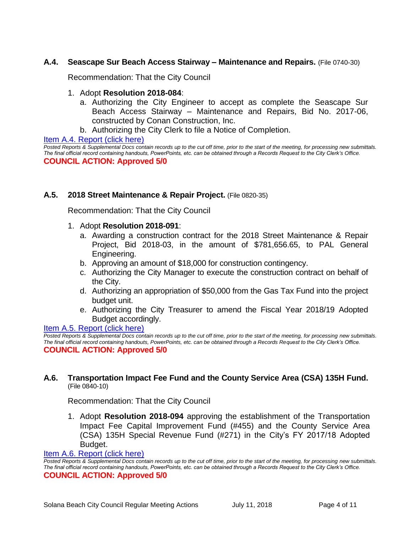## **A.4. Seascape Sur Beach Access Stairway – Maintenance and Repairs.** (File 0740-30)

Recommendation: That the City Council

#### 1. Adopt **Resolution 2018-084**:

- a. Authorizing the City Engineer to accept as complete the Seascape Sur Beach Access Stairway – Maintenance and Repairs, Bid No. 2017-06, constructed by Conan Construction, Inc.
- b. Authorizing the City Clerk to file a Notice of Completion.

#### [Item A.4. Report \(click here\)](https://solanabeach.govoffice3.com/vertical/Sites/%7B840804C2-F869-4904-9AE3-720581350CE7%7D/uploads/Item_A.4._Report_(click_here)_-_07-11-18.PDF)

*Posted Reports & Supplemental Docs contain records up to the cut off time, prior to the start of the meeting, for processing new submittals. The final official record containing handouts, PowerPoints, etc. can be obtained through a Records Request to the City Clerk's Office.* **COUNCIL ACTION: Approved 5/0**

#### **A.5. 2018 Street Maintenance & Repair Project.** (File 0820-35)

Recommendation: That the City Council

#### 1. Adopt **Resolution 2018-091**:

- a. Awarding a construction contract for the 2018 Street Maintenance & Repair Project, Bid 2018-03, in the amount of \$781,656.65, to PAL General Engineering.
- b. Approving an amount of \$18,000 for construction contingency.
- c. Authorizing the City Manager to execute the construction contract on behalf of the City.
- d. Authorizing an appropriation of \$50,000 from the Gas Tax Fund into the project budget unit.
- e. Authorizing the City Treasurer to amend the Fiscal Year 2018/19 Adopted Budget accordingly.

## [Item A.5. Report \(click here\)](https://solanabeach.govoffice3.com/vertical/Sites/%7B840804C2-F869-4904-9AE3-720581350CE7%7D/uploads/Item_A.5._Report_(click_here)_-_07-11-18.PDF)

*Posted Reports & Supplemental Docs contain records up to the cut off time, prior to the start of the meeting, for processing new submittals. The final official record containing handouts, PowerPoints, etc. can be obtained through a Records Request to the City Clerk's Office.* **COUNCIL ACTION: Approved 5/0**

#### **A.6. Transportation Impact Fee Fund and the County Service Area (CSA) 135H Fund.** (File 0840-10)

#### Recommendation: That the City Council

1. Adopt **Resolution 2018-094** approving the establishment of the Transportation Impact Fee Capital Improvement Fund (#455) and the County Service Area (CSA) 135H Special Revenue Fund (#271) in the City's FY 2017/18 Adopted Budget.

#### [Item A.6. Report \(click here\)](https://solanabeach.govoffice3.com/vertical/Sites/%7B840804C2-F869-4904-9AE3-720581350CE7%7D/uploads/Item_A.6._Report_(click_here)_-_07-11-18.PDF)

*Posted Reports & Supplemental Docs contain records up to the cut off time, prior to the start of the meeting, for processing new submittals. The final official record containing handouts, PowerPoints, etc. can be obtained through a Records Request to the City Clerk's Office.* **COUNCIL ACTION: Approved 5/0**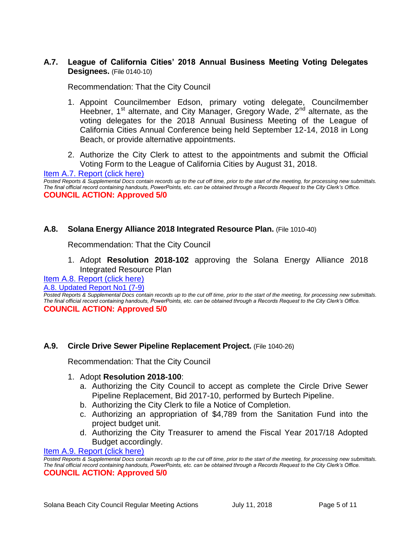# **A.7. League of California Cities' 2018 Annual Business Meeting Voting Delegates Designees.** (File 0140-10)

Recommendation: That the City Council

- 1. Appoint Councilmember Edson, primary voting delegate, Councilmember Heebner, 1<sup>st</sup> alternate, and City Manager, Gregory Wade, 2<sup>nd</sup> alternate, as the voting delegates for the 2018 Annual Business Meeting of the League of California Cities Annual Conference being held September 12-14, 2018 in Long Beach, or provide alternative appointments.
- 2. Authorize the City Clerk to attest to the appointments and submit the Official Voting Form to the League of California Cities by August 31, 2018.

[Item A.7. Report \(click here\)](https://solanabeach.govoffice3.com/vertical/Sites/%7B840804C2-F869-4904-9AE3-720581350CE7%7D/uploads/Item_A.7._Report_(click_here)_-_07-11-18.PDF)

*Posted Reports & Supplemental Docs contain records up to the cut off time, prior to the start of the meeting, for processing new submittals. The final official record containing handouts, PowerPoints, etc. can be obtained through a Records Request to the City Clerk's Office.* **COUNCIL ACTION: Approved 5/0**

## **A.8. Solana Energy Alliance 2018 Integrated Resource Plan.** (File 1010-40)

Recommendation: That the City Council

1. Adopt **Resolution 2018-102** approving the Solana Energy Alliance 2018 Integrated Resource Plan

## [Item A.8. Report \(click here\)](https://solanabeach.govoffice3.com/vertical/Sites/%7B840804C2-F869-4904-9AE3-720581350CE7%7D/uploads/Item_A.8._Report_(click_here)_-_07-11-18.PDF)

#### [A.8. Updated Report](https://solanabeach.govoffice3.com/vertical/Sites/%7B840804C2-F869-4904-9AE3-720581350CE7%7D/uploads/A.8._Staff_Report_Update_No1_-_7-9.pdf) No1 (7-9)

*Posted Reports & Supplemental Docs contain records up to the cut off time, prior to the start of the meeting, for processing new submittals. The final official record containing handouts, PowerPoints, etc. can be obtained through a Records Request to the City Clerk's Office.* **COUNCIL ACTION: Approved 5/0**

## **A.9. Circle Drive Sewer Pipeline Replacement Project.** (File 1040-26)

Recommendation: That the City Council

#### 1. Adopt **Resolution 2018-100**:

- a. Authorizing the City Council to accept as complete the Circle Drive Sewer Pipeline Replacement, Bid 2017-10, performed by Burtech Pipeline.
- b. Authorizing the City Clerk to file a Notice of Completion.
- c. Authorizing an appropriation of \$4,789 from the Sanitation Fund into the project budget unit.
- d. Authorizing the City Treasurer to amend the Fiscal Year 2017/18 Adopted Budget accordingly.

[Item A.9. Report \(click here\)](https://solanabeach.govoffice3.com/vertical/Sites/%7B840804C2-F869-4904-9AE3-720581350CE7%7D/uploads/Item_A.9._Report_(click_here)_-_07-11-18.PDF)

*Posted Reports & Supplemental Docs contain records up to the cut off time, prior to the start of the meeting, for processing new submittals. The final official record containing handouts, PowerPoints, etc. can be obtained through a Records Request to the City Clerk's Office.* **COUNCIL ACTION: Approved 5/0**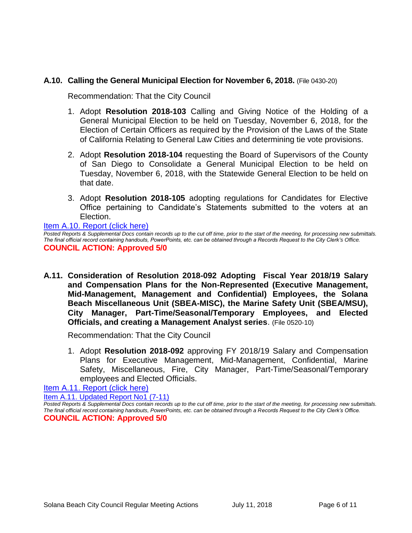# **A.10. Calling the General Municipal Election for November 6, 2018.** (File 0430-20)

Recommendation: That the City Council

- 1. Adopt **Resolution 2018-103** Calling and Giving Notice of the Holding of a General Municipal Election to be held on Tuesday, November 6, 2018, for the Election of Certain Officers as required by the Provision of the Laws of the State of California Relating to General Law Cities and determining tie vote provisions.
- 2. Adopt **Resolution 2018-104** requesting the Board of Supervisors of the County of San Diego to Consolidate a General Municipal Election to be held on Tuesday, November 6, 2018, with the Statewide General Election to be held on that date.
- 3. Adopt **Resolution 2018-105** adopting regulations for Candidates for Elective Office pertaining to Candidate's Statements submitted to the voters at an Election.

#### [Item A.10. Report \(click here\)](https://solanabeach.govoffice3.com/vertical/Sites/%7B840804C2-F869-4904-9AE3-720581350CE7%7D/uploads/Item_A.10._Report_(click_here)_-_07-11-18.PDF)

*Posted Reports & Supplemental Docs contain records up to the cut off time, prior to the start of the meeting, for processing new submittals. The final official record containing handouts, PowerPoints, etc. can be obtained through a Records Request to the City Clerk's Office.* **COUNCIL ACTION: Approved 5/0**

**A.11. Consideration of Resolution 2018-092 Adopting Fiscal Year 2018/19 Salary and Compensation Plans for the Non-Represented (Executive Management, Mid-Management, Management and Confidential) Employees, the Solana Beach Miscellaneous Unit (SBEA-MISC), the Marine Safety Unit (SBEA/MSU), City Manager, Part-Time/Seasonal/Temporary Employees, and Elected Officials, and creating a Management Analyst series**. (File 0520-10)

Recommendation: That the City Council

1. Adopt **Resolution 2018-092** approving FY 2018/19 Salary and Compensation Plans for Executive Management, Mid-Management, Confidential, Marine Safety, Miscellaneous, Fire, City Manager, Part-Time/Seasonal/Temporary employees and Elected Officials.

[Item A.11. Report \(click here\)](https://solanabeach.govoffice3.com/vertical/Sites/%7B840804C2-F869-4904-9AE3-720581350CE7%7D/uploads/Item_A.11._Report_(click_here)_07-11-18.PDF)

[Item A.11. Updated](https://solanabeach.govoffice3.com/vertical/Sites/%7B840804C2-F869-4904-9AE3-720581350CE7%7D/uploads/A.11._Staff_Report_Update_1_(7-11).pdf) Report No1 (7-11)

*Posted Reports & Supplemental Docs contain records up to the cut off time, prior to the start of the meeting, for processing new submittals. The final official record containing handouts, PowerPoints, etc. can be obtained through a Records Request to the City Clerk's Office.* **COUNCIL ACTION: Approved 5/0**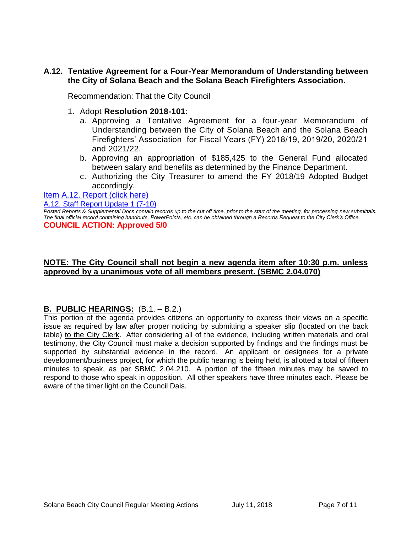# **A.12. Tentative Agreement for a Four-Year Memorandum of Understanding between the City of Solana Beach and the Solana Beach Firefighters Association.**

Recommendation: That the City Council

- 1. Adopt **Resolution 2018-101**:
	- a. Approving a Tentative Agreement for a four-year Memorandum of Understanding between the City of Solana Beach and the Solana Beach Firefighters' Association for Fiscal Years (FY) 2018/19, 2019/20, 2020/21 and 2021/22.
	- b. Approving an appropriation of \$185,425 to the General Fund allocated between salary and benefits as determined by the Finance Department.
	- c. Authorizing the City Treasurer to amend the FY 2018/19 Adopted Budget accordingly.

## [Item A.12. Report \(click here\)](https://solanabeach.govoffice3.com/vertical/Sites/%7B840804C2-F869-4904-9AE3-720581350CE7%7D/uploads/Item_A.12._Report_(click_here)_07-11-18.PDF)

#### [A.12. Staff Report Update 1 \(7-10\)](https://solanabeach.govoffice3.com/vertical/Sites/%7B840804C2-F869-4904-9AE3-720581350CE7%7D/uploads/A.12._Updated_Report_1_(7-10).pdf)

*Posted Reports & Supplemental Docs contain records up to the cut off time, prior to the start of the meeting, for processing new submittals. The final official record containing handouts, PowerPoints, etc. can be obtained through a Records Request to the City Clerk's Office.* **COUNCIL ACTION: Approved 5/0**

## **NOTE: The City Council shall not begin a new agenda item after 10:30 p.m. unless approved by a unanimous vote of all members present. (SBMC 2.04.070)**

# **B. PUBLIC HEARINGS:** (B.1. – B.2.)

This portion of the agenda provides citizens an opportunity to express their views on a specific issue as required by law after proper noticing by submitting a speaker slip (located on the back table) to the City Clerk. After considering all of the evidence, including written materials and oral testimony, the City Council must make a decision supported by findings and the findings must be supported by substantial evidence in the record. An applicant or designees for a private development/business project, for which the public hearing is being held, is allotted a total of fifteen minutes to speak, as per SBMC 2.04.210. A portion of the fifteen minutes may be saved to respond to those who speak in opposition. All other speakers have three minutes each. Please be aware of the timer light on the Council Dais.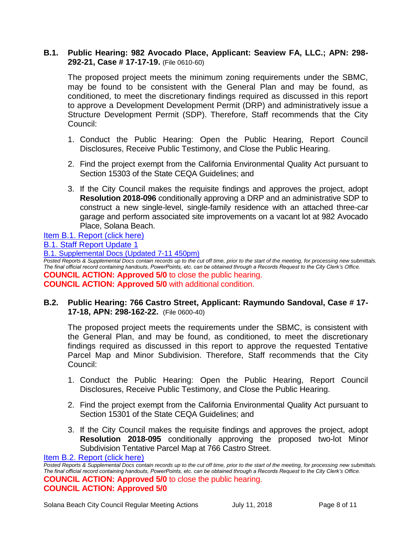## **B.1. Public Hearing: 982 Avocado Place, Applicant: Seaview FA, LLC.; APN: 298- 292-21, Case # 17-17-19.** (File 0610-60)

The proposed project meets the minimum zoning requirements under the SBMC, may be found to be consistent with the General Plan and may be found, as conditioned, to meet the discretionary findings required as discussed in this report to approve a Development Development Permit (DRP) and administratively issue a Structure Development Permit (SDP). Therefore, Staff recommends that the City Council:

- 1. Conduct the Public Hearing: Open the Public Hearing, Report Council Disclosures, Receive Public Testimony, and Close the Public Hearing.
- 2. Find the project exempt from the California Environmental Quality Act pursuant to Section 15303 of the State CEQA Guidelines; and
- 3. If the City Council makes the requisite findings and approves the project, adopt **Resolution 2018-096** conditionally approving a DRP and an administrative SDP to construct a new single-level, single-family residence with an attached three-car garage and perform associated site improvements on a vacant lot at 982 Avocado Place, Solana Beach.

# [Item B.1. Report \(click here\)](https://solanabeach.govoffice3.com/vertical/Sites/%7B840804C2-F869-4904-9AE3-720581350CE7%7D/uploads/Item_B.1._Report_(click_here)_-_07-11-18_-_R_(reduced).pdf)

[B.1. Staff Report Update 1](https://solanabeach.govoffice3.com/vertical/Sites/%7B840804C2-F869-4904-9AE3-720581350CE7%7D/uploads/B.1._Staff_Report_Update_1.pdf)

[B.1. Supplemental Docs \(Updated 7-11 450pm\)](https://solanabeach.govoffice3.com/vertical/Sites/%7B840804C2-F869-4904-9AE3-720581350CE7%7D/uploads/B.1._Supplemental_Docs_(7-11_445pm).pdf)

*Posted Reports & Supplemental Docs contain records up to the cut off time, prior to the start of the meeting, for processing new submittals. The final official record containing handouts, PowerPoints, etc. can be obtained through a Records Request to the City Clerk's Office.* **COUNCIL ACTION: Approved 5/0** to close the public hearing. **COUNCIL ACTION: Approved 5/0** with additional condition.

# **B.2. Public Hearing: 766 Castro Street, Applicant: Raymundo Sandoval, Case # 17- 17-18, APN: 298-162-22.** (File 0600-40)

The proposed project meets the requirements under the SBMC, is consistent with the General Plan, and may be found, as conditioned, to meet the discretionary findings required as discussed in this report to approve the requested Tentative Parcel Map and Minor Subdivision. Therefore, Staff recommends that the City Council:

- 1. Conduct the Public Hearing: Open the Public Hearing, Report Council Disclosures, Receive Public Testimony, and Close the Public Hearing.
- 2. Find the project exempt from the California Environmental Quality Act pursuant to Section 15301 of the State CEQA Guidelines; and
- 3. If the City Council makes the requisite findings and approves the project, adopt **Resolution 2018-095** conditionally approving the proposed two-lot Minor Subdivision Tentative Parcel Map at 766 Castro Street.

[Item B.2. Report \(click here\)](https://solanabeach.govoffice3.com/vertical/Sites/%7B840804C2-F869-4904-9AE3-720581350CE7%7D/uploads/Item_B.2._Report_(click_here)_-_07-11-18.PDF)

*Posted Reports & Supplemental Docs contain records up to the cut off time, prior to the start of the meeting, for processing new submittals. The final official record containing handouts, PowerPoints, etc. can be obtained through a Records Request to the City Clerk's Office.* **COUNCIL ACTION: Approved 5/0** to close the public hearing. **COUNCIL ACTION: Approved 5/0**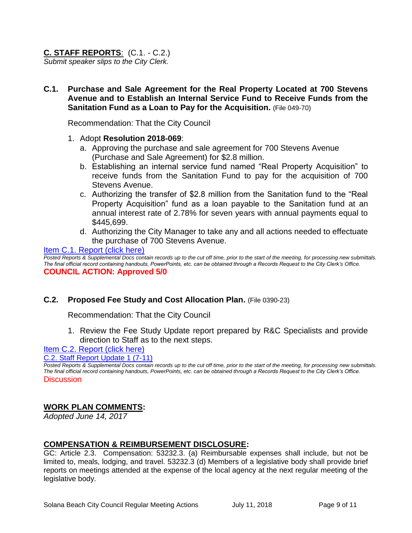# **C. STAFF REPORTS**: (C.1. - C.2.)

*Submit speaker slips to the City Clerk.*

**C.1. Purchase and Sale Agreement for the Real Property Located at 700 Stevens Avenue and to Establish an Internal Service Fund to Receive Funds from the Sanitation Fund as a Loan to Pay for the Acquisition.** (File 049-70)

Recommendation: That the City Council

- 1. Adopt **Resolution 2018-069**:
	- a. Approving the purchase and sale agreement for 700 Stevens Avenue (Purchase and Sale Agreement) for \$2.8 million.
	- b. Establishing an internal service fund named "Real Property Acquisition" to receive funds from the Sanitation Fund to pay for the acquisition of 700 Stevens Avenue.
	- c. Authorizing the transfer of \$2.8 million from the Sanitation fund to the "Real Property Acquisition" fund as a loan payable to the Sanitation fund at an annual interest rate of 2.78% for seven years with annual payments equal to \$445,699.
	- d. Authorizing the City Manager to take any and all actions needed to effectuate the purchase of 700 Stevens Avenue.

#### [Item C.1. Report \(click here\)](https://solanabeach.govoffice3.com/vertical/Sites/%7B840804C2-F869-4904-9AE3-720581350CE7%7D/uploads/Item_C.1._Report_(click_here)_-_07-11-18.PDF)

*Posted Reports & Supplemental Docs contain records up to the cut off time, prior to the start of the meeting, for processing new submittals. The final official record containing handouts, PowerPoints, etc. can be obtained through a Records Request to the City Clerk's Office.* **COUNCIL ACTION: Approved 5/0**

# **C.2. Proposed Fee Study and Cost Allocation Plan.** (File 0390-23)

Recommendation: That the City Council

1. Review the Fee Study Update report prepared by R&C Specialists and provide direction to Staff as to the next steps.

# [Item C.2. Report \(click here\)](https://solanabeach.govoffice3.com/vertical/Sites/%7B840804C2-F869-4904-9AE3-720581350CE7%7D/uploads/Item_C.2._Report_(click_here)_07-11-18.pdf)

[C.2. Staff Report Update 1 \(7-11\)](https://solanabeach.govoffice3.com/vertical/Sites/%7B840804C2-F869-4904-9AE3-720581350CE7%7D/uploads/C.2._Staff_Report_Update_1.pdf)

*Posted Reports & Supplemental Docs contain records up to the cut off time, prior to the start of the meeting, for processing new submittals. The final official record containing handouts, PowerPoints, etc. can be obtained through a Records Request to the City Clerk's Office.* **Discussion** 

# **WORK PLAN COMMENTS:**

*Adopted June 14, 2017*

## **COMPENSATION & REIMBURSEMENT DISCLOSURE:**

GC: Article 2.3. Compensation: 53232.3. (a) Reimbursable expenses shall include, but not be limited to, meals, lodging, and travel. 53232.3 (d) Members of a legislative body shall provide brief reports on meetings attended at the expense of the local agency at the next regular meeting of the legislative body.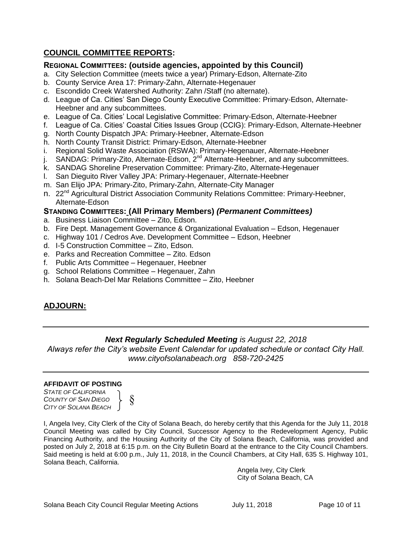# **COUNCIL COMMITTEE REPORTS:**

# **REGIONAL COMMITTEES: (outside agencies, appointed by this Council)**

- a. City Selection Committee (meets twice a year) Primary-Edson, Alternate-Zito
- b. County Service Area 17: Primary-Zahn, Alternate-Hegenauer
- c. Escondido Creek Watershed Authority: Zahn /Staff (no alternate).
- d. League of Ca. Cities' San Diego County Executive Committee: Primary-Edson, Alternate-Heebner and any subcommittees.
- e. League of Ca. Cities' Local Legislative Committee: Primary-Edson, Alternate-Heebner
- f. League of Ca. Cities' Coastal Cities Issues Group (CCIG): Primary-Edson, Alternate-Heebner
- g. North County Dispatch JPA: Primary-Heebner, Alternate-Edson
- h. North County Transit District: Primary-Edson, Alternate-Heebner
- i. Regional Solid Waste Association (RSWA): Primary-Hegenauer, Alternate-Heebner
- j. SANDAG: Primary-Zito, Alternate-Edson,  $2^{nd}$  Alternate-Heebner, and any subcommittees.
- k. SANDAG Shoreline Preservation Committee: Primary-Zito, Alternate-Hegenauer
- l. San Dieguito River Valley JPA: Primary-Hegenauer, Alternate-Heebner
- m. San Elijo JPA: Primary-Zito, Primary-Zahn, Alternate-City Manager
- n. 22<sup>nd</sup> Agricultural District Association Community Relations Committee: Primary-Heebner, Alternate-Edson

## **STANDING COMMITTEES: (All Primary Members)** *(Permanent Committees)*

- a. Business Liaison Committee Zito, Edson.
- b. Fire Dept. Management Governance & Organizational Evaluation Edson, Hegenauer
- c. Highway 101 / Cedros Ave. Development Committee Edson, Heebner
- d. I-5 Construction Committee Zito, Edson.
- e. Parks and Recreation Committee Zito. Edson
- f. Public Arts Committee Hegenauer, Heebner
- g. School Relations Committee Hegenauer, Zahn
- h. Solana Beach-Del Mar Relations Committee Zito, Heebner

# **ADJOURN:**

# *Next Regularly Scheduled Meeting is August 22, 2018*

*Always refer the City's website Event Calendar for updated schedule or contact City Hall. www.cityofsolanabeach.org 858-720-2425*

#### **AFFIDAVIT OF POSTING**

*STATE OF CALIFORNIA COUNTY OF SAN DIEGO CITY OF SOLANA BEACH*



I, Angela Ivey, City Clerk of the City of Solana Beach, do hereby certify that this Agenda for the July 11, 2018 Council Meeting was called by City Council, Successor Agency to the Redevelopment Agency, Public Financing Authority, and the Housing Authority of the City of Solana Beach, California, was provided and posted on July 2, 2018 at 6:15 p.m. on the City Bulletin Board at the entrance to the City Council Chambers. Said meeting is held at 6:00 p.m., July 11, 2018, in the Council Chambers, at City Hall, 635 S. Highway 101, Solana Beach, California.

> Angela Ivey, City Clerk City of Solana Beach, CA